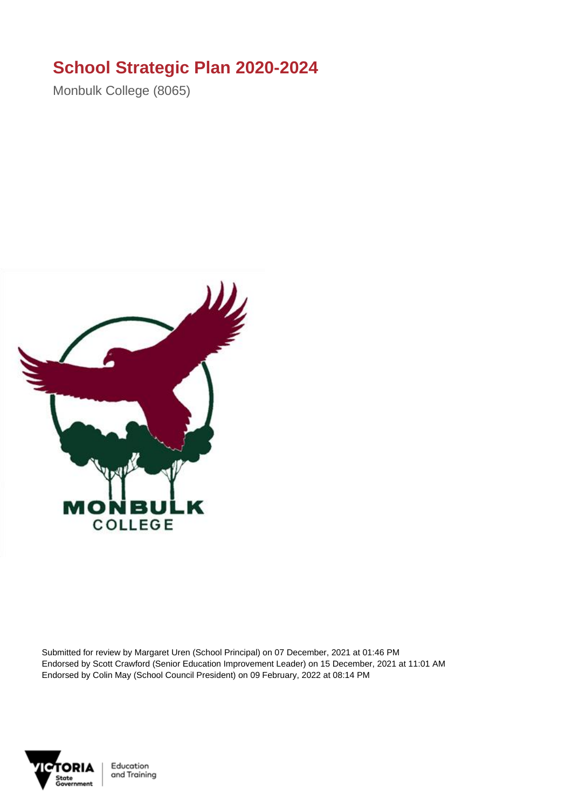## **School Strategic Plan 2020-2024**

Monbulk College (8065)



Submitted for review by Margaret Uren (School Principal) on 07 December, 2021 at 01:46 PM Endorsed by Scott Crawford (Senior Education Improvement Leader) on 15 December, 2021 at 11:01 AM Endorsed by Colin May (School Council President) on 09 February, 2022 at 08:14 PM



Education and Training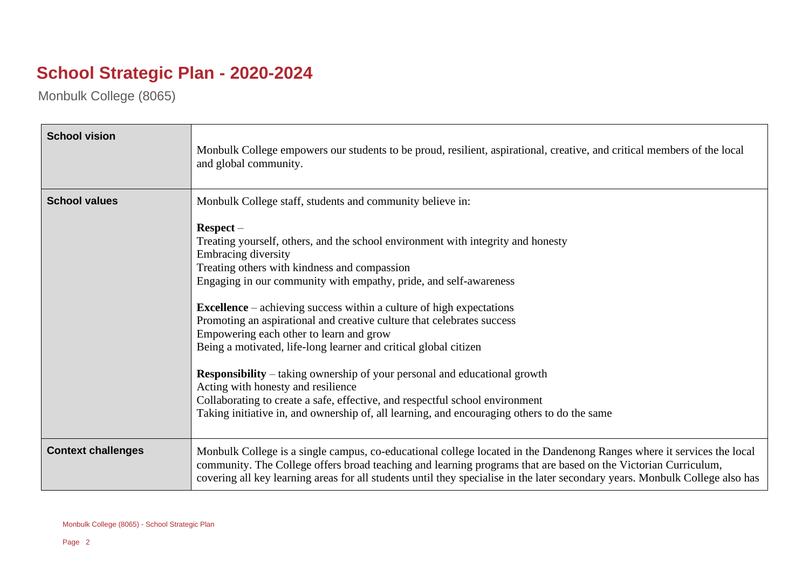## **School Strategic Plan - 2020-2024**

Monbulk College (8065)

| <b>School vision</b>      | Monbulk College empowers our students to be proud, resilient, aspirational, creative, and critical members of the local<br>and global community.                                                                                                                                                                                                                                                                                                                                                                                                                                                                                                                                                                                                                                                                                                                                          |
|---------------------------|-------------------------------------------------------------------------------------------------------------------------------------------------------------------------------------------------------------------------------------------------------------------------------------------------------------------------------------------------------------------------------------------------------------------------------------------------------------------------------------------------------------------------------------------------------------------------------------------------------------------------------------------------------------------------------------------------------------------------------------------------------------------------------------------------------------------------------------------------------------------------------------------|
| <b>School values</b>      | Monbulk College staff, students and community believe in:<br>$Respect -$<br>Treating yourself, others, and the school environment with integrity and honesty<br>Embracing diversity<br>Treating others with kindness and compassion<br>Engaging in our community with empathy, pride, and self-awareness<br><b>Excellence</b> – achieving success within a culture of high expectations<br>Promoting an aspirational and creative culture that celebrates success<br>Empowering each other to learn and grow<br>Being a motivated, life-long learner and critical global citizen<br><b>Responsibility</b> – taking ownership of your personal and educational growth<br>Acting with honesty and resilience<br>Collaborating to create a safe, effective, and respectful school environment<br>Taking initiative in, and ownership of, all learning, and encouraging others to do the same |
| <b>Context challenges</b> | Monbulk College is a single campus, co-educational college located in the Dandenong Ranges where it services the local<br>community. The College offers broad teaching and learning programs that are based on the Victorian Curriculum,<br>covering all key learning areas for all students until they specialise in the later secondary years. Monbulk College also has                                                                                                                                                                                                                                                                                                                                                                                                                                                                                                                 |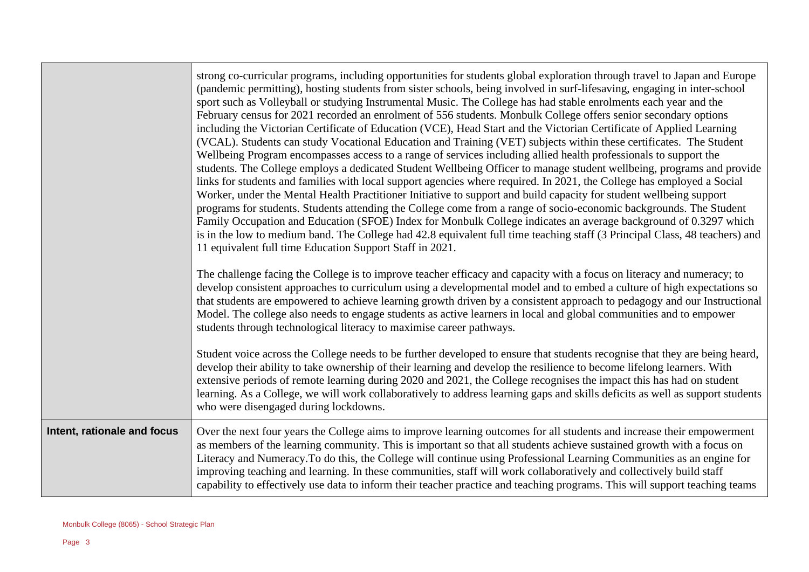|                             | strong co-curricular programs, including opportunities for students global exploration through travel to Japan and Europe<br>(pandemic permitting), hosting students from sister schools, being involved in surf-lifesaving, engaging in inter-school<br>sport such as Volleyball or studying Instrumental Music. The College has had stable enrolments each year and the<br>February census for 2021 recorded an enrolment of 556 students. Monbulk College offers senior secondary options<br>including the Victorian Certificate of Education (VCE), Head Start and the Victorian Certificate of Applied Learning<br>(VCAL). Students can study Vocational Education and Training (VET) subjects within these certificates. The Student<br>Wellbeing Program encompasses access to a range of services including allied health professionals to support the<br>students. The College employs a dedicated Student Wellbeing Officer to manage student wellbeing, programs and provide<br>links for students and families with local support agencies where required. In 2021, the College has employed a Social<br>Worker, under the Mental Health Practitioner Initiative to support and build capacity for student wellbeing support<br>programs for students. Students attending the College come from a range of socio-economic backgrounds. The Student<br>Family Occupation and Education (SFOE) Index for Monbulk College indicates an average background of 0.3297 which<br>is in the low to medium band. The College had 42.8 equivalent full time teaching staff (3 Principal Class, 48 teachers) and<br>11 equivalent full time Education Support Staff in 2021.<br>The challenge facing the College is to improve teacher efficacy and capacity with a focus on literacy and numeracy; to<br>develop consistent approaches to curriculum using a developmental model and to embed a culture of high expectations so<br>that students are empowered to achieve learning growth driven by a consistent approach to pedagogy and our Instructional<br>Model. The college also needs to engage students as active learners in local and global communities and to empower<br>students through technological literacy to maximise career pathways.<br>Student voice across the College needs to be further developed to ensure that students recognise that they are being heard, |
|-----------------------------|--------------------------------------------------------------------------------------------------------------------------------------------------------------------------------------------------------------------------------------------------------------------------------------------------------------------------------------------------------------------------------------------------------------------------------------------------------------------------------------------------------------------------------------------------------------------------------------------------------------------------------------------------------------------------------------------------------------------------------------------------------------------------------------------------------------------------------------------------------------------------------------------------------------------------------------------------------------------------------------------------------------------------------------------------------------------------------------------------------------------------------------------------------------------------------------------------------------------------------------------------------------------------------------------------------------------------------------------------------------------------------------------------------------------------------------------------------------------------------------------------------------------------------------------------------------------------------------------------------------------------------------------------------------------------------------------------------------------------------------------------------------------------------------------------------------------------------------------------------------------------------------------------------------------------------------------------------------------------------------------------------------------------------------------------------------------------------------------------------------------------------------------------------------------------------------------------------------------------------------------------------------------------------------------------------------------------------------------------------------------------------------------|
|                             | develop their ability to take ownership of their learning and develop the resilience to become lifelong learners. With<br>extensive periods of remote learning during 2020 and 2021, the College recognises the impact this has had on student<br>learning. As a College, we will work collaboratively to address learning gaps and skills deficits as well as support students<br>who were disengaged during lockdowns.                                                                                                                                                                                                                                                                                                                                                                                                                                                                                                                                                                                                                                                                                                                                                                                                                                                                                                                                                                                                                                                                                                                                                                                                                                                                                                                                                                                                                                                                                                                                                                                                                                                                                                                                                                                                                                                                                                                                                                   |
| Intent, rationale and focus | Over the next four years the College aims to improve learning outcomes for all students and increase their empowerment<br>as members of the learning community. This is important so that all students achieve sustained growth with a focus on<br>Literacy and Numeracy. To do this, the College will continue using Professional Learning Communities as an engine for<br>improving teaching and learning. In these communities, staff will work collaboratively and collectively build staff<br>capability to effectively use data to inform their teacher practice and teaching programs. This will support teaching teams                                                                                                                                                                                                                                                                                                                                                                                                                                                                                                                                                                                                                                                                                                                                                                                                                                                                                                                                                                                                                                                                                                                                                                                                                                                                                                                                                                                                                                                                                                                                                                                                                                                                                                                                                             |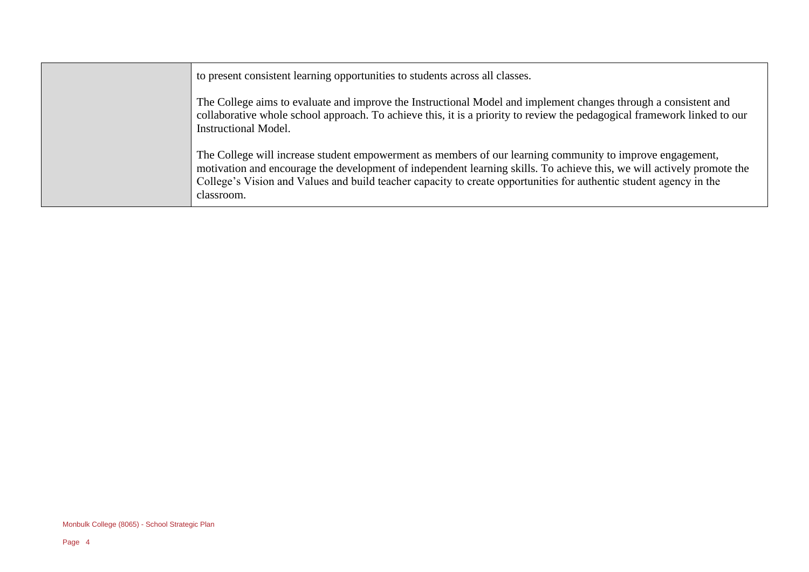| to present consistent learning opportunities to students across all classes.                                                                                                                                                                                                                                                                                            |
|-------------------------------------------------------------------------------------------------------------------------------------------------------------------------------------------------------------------------------------------------------------------------------------------------------------------------------------------------------------------------|
| The College aims to evaluate and improve the Instructional Model and implement changes through a consistent and<br>collaborative whole school approach. To achieve this, it is a priority to review the pedagogical framework linked to our<br><b>Instructional Model.</b>                                                                                              |
| The College will increase student empowerment as members of our learning community to improve engagement,<br>motivation and encourage the development of independent learning skills. To achieve this, we will actively promote the<br>College's Vision and Values and build teacher capacity to create opportunities for authentic student agency in the<br>classroom. |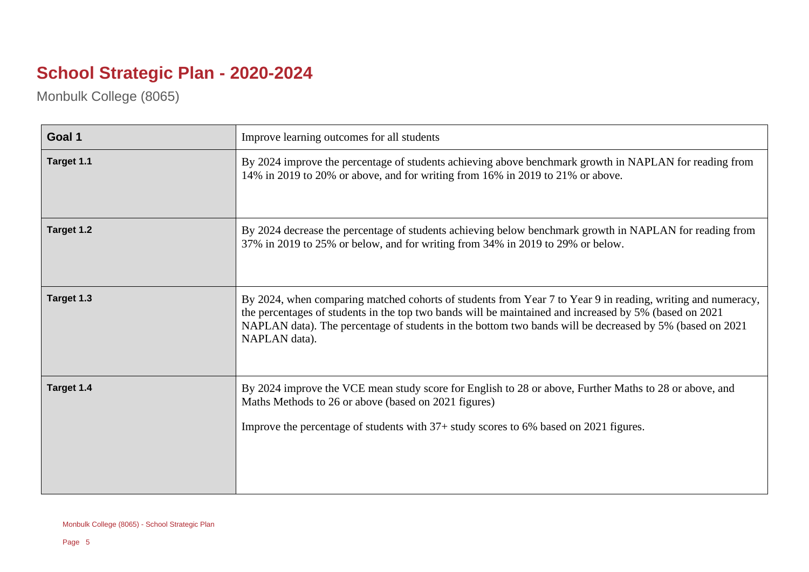## **School Strategic Plan - 2020-2024**

Monbulk College (8065)

| Goal 1     | Improve learning outcomes for all students                                                                                                                                                                                                                                                                                                        |
|------------|---------------------------------------------------------------------------------------------------------------------------------------------------------------------------------------------------------------------------------------------------------------------------------------------------------------------------------------------------|
| Target 1.1 | By 2024 improve the percentage of students achieving above benchmark growth in NAPLAN for reading from<br>14% in 2019 to 20% or above, and for writing from 16% in 2019 to 21% or above.                                                                                                                                                          |
| Target 1.2 | By 2024 decrease the percentage of students achieving below benchmark growth in NAPLAN for reading from<br>37% in 2019 to 25% or below, and for writing from 34% in 2019 to 29% or below.                                                                                                                                                         |
| Target 1.3 | By 2024, when comparing matched cohorts of students from Year 7 to Year 9 in reading, writing and numeracy,<br>the percentages of students in the top two bands will be maintained and increased by 5% (based on 2021<br>NAPLAN data). The percentage of students in the bottom two bands will be decreased by 5% (based on 2021<br>NAPLAN data). |
| Target 1.4 | By 2024 improve the VCE mean study score for English to 28 or above, Further Maths to 28 or above, and<br>Maths Methods to 26 or above (based on 2021 figures)<br>Improve the percentage of students with 37+ study scores to 6% based on 2021 figures.                                                                                           |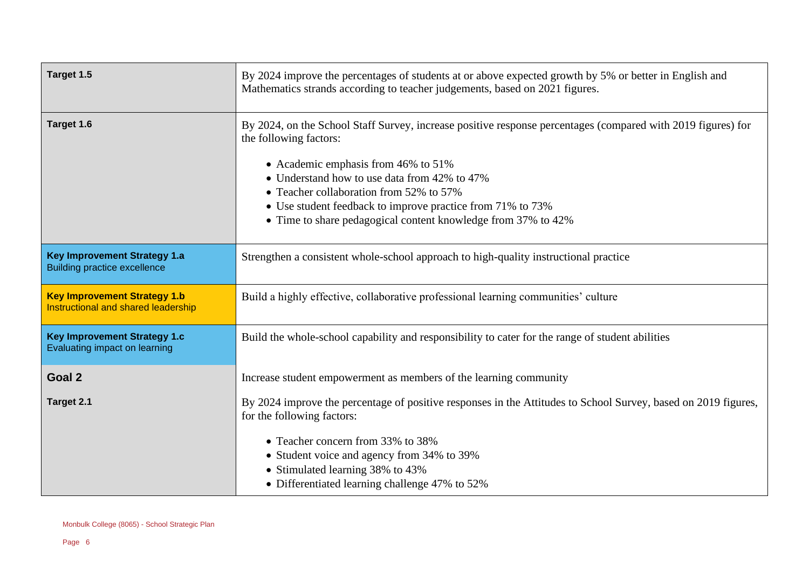| Target 1.5                                                                 | By 2024 improve the percentages of students at or above expected growth by 5% or better in English and<br>Mathematics strands according to teacher judgements, based on 2021 figures.                                                                                                                                                                                                                   |
|----------------------------------------------------------------------------|---------------------------------------------------------------------------------------------------------------------------------------------------------------------------------------------------------------------------------------------------------------------------------------------------------------------------------------------------------------------------------------------------------|
| Target 1.6                                                                 | By 2024, on the School Staff Survey, increase positive response percentages (compared with 2019 figures) for<br>the following factors:<br>• Academic emphasis from 46% to 51%<br>• Understand how to use data from 42% to 47%<br>• Teacher collaboration from 52% to 57%<br>• Use student feedback to improve practice from 71% to 73%<br>• Time to share pedagogical content knowledge from 37% to 42% |
| <b>Key Improvement Strategy 1.a</b><br><b>Building practice excellence</b> | Strengthen a consistent whole-school approach to high-quality instructional practice                                                                                                                                                                                                                                                                                                                    |
| <b>Key Improvement Strategy 1.b</b><br>Instructional and shared leadership | Build a highly effective, collaborative professional learning communities' culture                                                                                                                                                                                                                                                                                                                      |
| <b>Key Improvement Strategy 1.c</b><br>Evaluating impact on learning       | Build the whole-school capability and responsibility to cater for the range of student abilities                                                                                                                                                                                                                                                                                                        |
| Goal 2                                                                     | Increase student empowerment as members of the learning community                                                                                                                                                                                                                                                                                                                                       |
| Target 2.1                                                                 | By 2024 improve the percentage of positive responses in the Attitudes to School Survey, based on 2019 figures,<br>for the following factors:<br>• Teacher concern from 33% to 38%<br>• Student voice and agency from 34% to 39%<br>• Stimulated learning 38% to 43%<br>• Differentiated learning challenge 47% to 52%                                                                                   |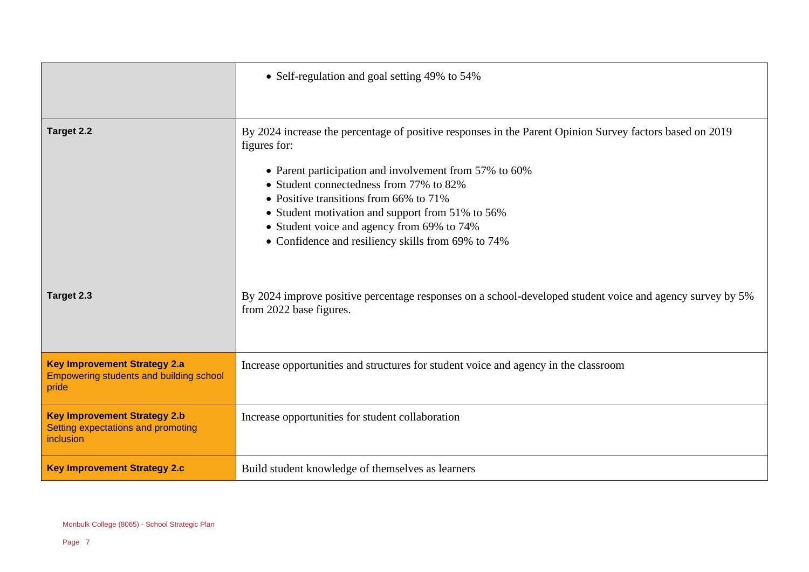|                                                                                               | • Self-regulation and goal setting 49% to 54%                                                                                        |
|-----------------------------------------------------------------------------------------------|--------------------------------------------------------------------------------------------------------------------------------------|
|                                                                                               |                                                                                                                                      |
| Target 2.2                                                                                    | By 2024 increase the percentage of positive responses in the Parent Opinion Survey factors based on 2019<br>figures for:             |
|                                                                                               | • Parent participation and involvement from 57% to 60%                                                                               |
|                                                                                               | • Student connectedness from 77% to 82%                                                                                              |
|                                                                                               | • Positive transitions from 66% to 71%                                                                                               |
|                                                                                               | • Student motivation and support from 51% to 56%                                                                                     |
|                                                                                               | • Student voice and agency from 69% to 74%<br>• Confidence and resiliency skills from 69% to 74%                                     |
|                                                                                               |                                                                                                                                      |
| Target 2.3                                                                                    | By 2024 improve positive percentage responses on a school-developed student voice and agency survey by 5%<br>from 2022 base figures. |
| <b>Key Improvement Strategy 2.a</b><br>Empowering students and building school<br>pride       | Increase opportunities and structures for student voice and agency in the classroom                                                  |
| <b>Key Improvement Strategy 2.b</b><br>Setting expectations and promoting<br><i>inclusion</i> | Increase opportunities for student collaboration                                                                                     |
| <b>Key Improvement Strategy 2.c</b>                                                           | Build student knowledge of themselves as learners                                                                                    |